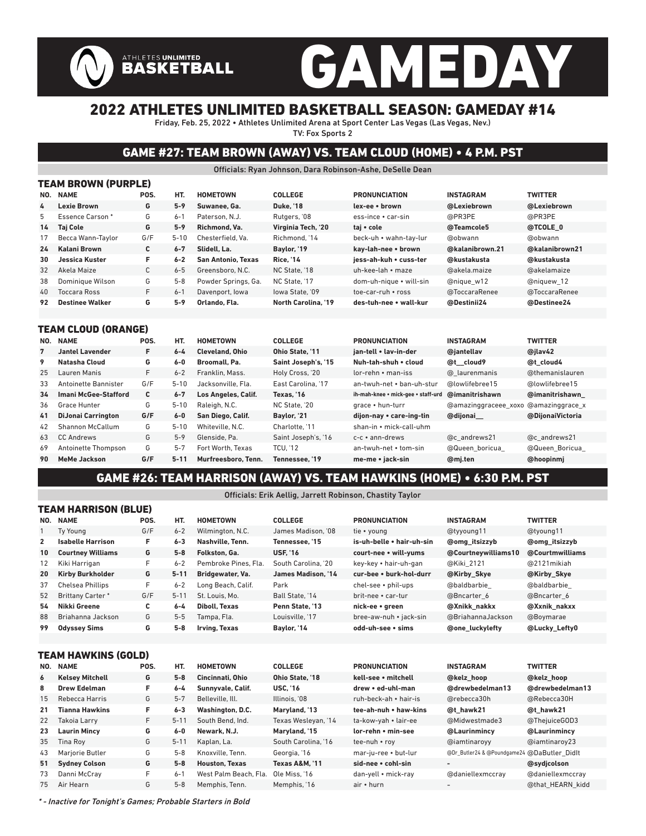# GAMEDAY ATHLETES UNLIMITED<br>BASKETBALL

## 2022 ATHLETES UNLIMITED BASKETBALL SEASON: GAMEDAY #14

Friday, Feb. 25, 2022 • Athletes Unlimited Arena at Sport Center Las Vegas (Las Vegas, Nev.) TV: Fox Sports 2

## GAME #27: TEAM BROWN (AWAY) VS. TEAM CLOUD (HOME) • 4 P.M. PST

Officials: Ryan Johnson, Dara Robinson-Ashe, DeSelle Dean

| <b>TEAM BROWN (PURPLE)</b> |      |          |                           |                            |                         |                  |                |  |  |  |  |  |  |
|----------------------------|------|----------|---------------------------|----------------------------|-------------------------|------------------|----------------|--|--|--|--|--|--|
| <b>NAME</b>                | POS. | HT.      | <b>HOMETOWN</b>           | <b>COLLEGE</b>             | <b>PRONUNCIATION</b>    | <b>INSTAGRAM</b> | <b>TWITTER</b> |  |  |  |  |  |  |
| Lexie Brown                | G    | $5-9$    | Suwanee, Ga.              | <b>Duke, '18</b>           | lex-ee • brown          | @Lexiebrown      | @Lexiebrown    |  |  |  |  |  |  |
| Essence Carson*            | G    | $6 - 1$  | Paterson, N.J.            | Rutgers, '08               | ess-ince • car-sin      | @PR3PE           | @PR3PE         |  |  |  |  |  |  |
| <b>Taj Cole</b>            | G    | $5 - 9$  | Richmond, Va.             | Virginia Tech, '20         | tai • cole              | @Teamcole5       | @TCOLE 0       |  |  |  |  |  |  |
| Becca Wann-Taylor          | G/F  | $5 - 10$ | Chesterfield, Va.         | Richmond, '14              | beck-uh • wahn-tav-lur  | @obwann          | @obwann        |  |  |  |  |  |  |
| Kalani Brown               | C    | $6 - 7$  | Slidell, La.              | Baylor, '19                | kav-lah-nee • brown     | @kalanibrown.21  | @kalanibrown21 |  |  |  |  |  |  |
| Jessica Kuster             | F    | $6 - 2$  | <b>San Antonio, Texas</b> | <b>Rice. '14</b>           | iess-ah-kuh • cuss-ter  | @kustakusta      | @kustakusta    |  |  |  |  |  |  |
| Akela Maize                | C    | $6 - 5$  | Greensboro, N.C.          | NC State, '18              | uh-kee-lah • maze       | @akela.maize     | @akelamaize    |  |  |  |  |  |  |
| Dominique Wilson           | G    | $5 - 8$  | Powder Springs, Ga.       | NC State, '17              | dom-uh-nique • will-sin | @nique w12       | @niquew 12     |  |  |  |  |  |  |
| Toccara Ross               | F.   | $6 - 1$  | Davenport, lowa           | lowa State. '09            | toe-car-ruh • ross      | @ToccaraRenee    | @ToccaraRenee  |  |  |  |  |  |  |
| <b>Destinee Walker</b>     | G    | $5-9$    | Orlando, Fla.             | <b>North Carolina. '19</b> | des-tuh-nee • wall-kur  | @Destinii24      | @Destinee24    |  |  |  |  |  |  |
|                            |      |          |                           |                            |                         |                  |                |  |  |  |  |  |  |

#### TEAM CLOUD (ORANGE)

| NO. | <b>NAME</b>                 | POS. | HT.      | <b>HOMETOWN</b>        | <b>COLLEGE</b>      | <b>PRONUNCIATION</b>               | <b>INSTAGRAM</b>                     | <b>TWITTER</b>   |
|-----|-----------------------------|------|----------|------------------------|---------------------|------------------------------------|--------------------------------------|------------------|
| 7   | <b>Jantel Lavender</b>      | F    | $6 - 4$  | <b>Cleveland, Ohio</b> | Ohio State. '11     | ian-tell • lav-in-der              | @iantellav                           | @ilav42          |
| 9   | Natasha Cloud               | G    | $6-0$    | Broomall, Pa.          | Saint Joseph's, '15 | Nuh-tah-shuh • cloud               | @t cloud9                            | @t cloud4        |
| 25  | Lauren Manis                | F.   | $6 - 2$  | Franklin, Mass.        | Holy Cross, '20     | lor-rehn • man-iss                 | @ laurenmanis                        | @themanislauren  |
| 33  | Antoinette Bannister        | G/F  | $5 - 10$ | Jacksonville, Fla.     | East Carolina. '17  | an-twuh-net • ban-uh-stur          | @lowlifebree15                       | @lowlifebree15   |
| 34  | <b>Imani McGee-Stafford</b> | C    | $6 - 7$  | Los Angeles, Calif.    | Texas. '16          | ih-mah-knee • mick-gee • staff-urd | @imanitrishawn                       | @imanitrishawn   |
| 36  | Grace Hunter                | G    | $5 - 10$ | Raleigh, N.C.          | NC State. '20       | grace • hun-turr                   | @amazinggraceee xoxo @amazinggrace x |                  |
| 41  | <b>DiJonai Carrington</b>   | G/F  | $6-0$    | San Diego, Calif.      | Baylor, '21         | dijon-nay • care-ing-tin           | @dijonai                             | @DiionaiVictoria |
| 42  | Shannon McCallum            | G    | $5 - 10$ | Whiteville, N.C.       | Charlotte. '11      | shan-in • mick-call-uhm            |                                      |                  |
| 63  | <b>CC Andrews</b>           | G    | $5 - 9$  | Glenside, Pa.          | Saint Joseph's, '16 | c-c • ann-drews                    | @c andrews21                         | @c andrews21     |
| 69  | Antoinette Thompson         | G    | $5 - 7$  | Fort Worth, Texas      | <b>TCU. '12</b>     | an-twuh-net • tom-sin              | @Queen boricua                       | @Queen Boricua   |
| 90  | MeMe Jackson                | G/F  | $5 - 11$ | Murfreesboro, Tenn.    | Tennessee. '19      | me-me • jack-sin                   | @mj.ten                              | @hoopinmj        |

### GAME #26: TEAM HARRISON (AWAY) VS. TEAM HAWKINS (HOME) • 6:30 P.M. PST

Officials: Erik Aellig, Jarrett Robinson, Chastity Taylor

|     | TEAM HARRISON (BLUE)     |      |          |                       |                           |                           |                                             |                      |  |  |  |  |  |
|-----|--------------------------|------|----------|-----------------------|---------------------------|---------------------------|---------------------------------------------|----------------------|--|--|--|--|--|
|     | NO. NAME                 | POS. | HT.      | <b>HOMETOWN</b>       | <b>COLLEGE</b>            | <b>PRONUNCIATION</b>      | <b>INSTAGRAM</b>                            | <b>TWITTER</b>       |  |  |  |  |  |
| 1   | Ty Young                 | G/F  | $6 - 2$  | Wilmington, N.C.      | James Madison, '08        | tie • young               | @tyyoung11                                  | @tyoung11            |  |  |  |  |  |
| 2   | <b>Isabelle Harrison</b> | F    | $6 - 3$  | Nashville, Tenn.      | Tennessee. '15            | is-uh-belle • hair-uh-sin | @omg itsizzyb                               | <b>@omg</b> itsizzyb |  |  |  |  |  |
| 10  | <b>Courtney Williams</b> | G    | $5-8$    | Folkston, Ga.         | <b>USF. '16</b>           | court-nee • will-vums     | @Courtneywilliams10                         | @Courtmwilliams      |  |  |  |  |  |
| 12  | Kiki Harrigan            | F    | $6 - 2$  | Pembroke Pines, Fla.  | South Carolina. '20       | key-key • hair-uh-gan     | @Kiki 2121                                  | @2121 mikiah         |  |  |  |  |  |
| 20  | <b>Kirby Burkholder</b>  | G    | $5 - 11$ | Bridgewater, Va.      | James Madison. '14        | cur-bee • burk-hol-durr   | @Kirby Skye                                 | @Kirby_Skye          |  |  |  |  |  |
| 37  | <b>Chelsea Phillips</b>  | F    | $6 - 2$  | Long Beach, Calif.    | Park                      | chel-see • phil-ups       | @baldbarbie                                 | @baldbarbie          |  |  |  |  |  |
| 52  | Brittany Carter*         | G/F  | $5 - 11$ | St. Louis. Mo.        | Ball State, '14           | brit-nee • car-tur        | @Bncarter 6                                 | @Bncarter 6          |  |  |  |  |  |
| 54  | Nikki Greene             | C    | $6 - 4$  | <b>Diboll, Texas</b>  | Penn State, '13           | nick-ee • green           | @Xnikk nakkx                                | @Xxnik nakxx         |  |  |  |  |  |
| 88  | Briahanna Jackson        | G    | $5-5$    | Tampa, Fla.           | Louisville. '17           | bree-aw-nuh • jack-sin    | @BriahannaJackson                           | @Boymarae            |  |  |  |  |  |
| 99  | <b>Odyssey Sims</b>      | G    | $5-8$    | Irving, Texas         | Baylor, '14               | odd-uh-see • sims         | @one_luckylefty                             | @Lucky_Lefty0        |  |  |  |  |  |
|     |                          |      |          |                       |                           |                           |                                             |                      |  |  |  |  |  |
|     | TEAM HAWKINS (GOLD)      |      |          |                       |                           |                           |                                             |                      |  |  |  |  |  |
| NO. | <b>NAME</b>              | POS. | HT.      | <b>HOMETOWN</b>       | <b>COLLEGE</b>            | <b>PRONUNCIATION</b>      | <b>INSTAGRAM</b>                            | <b>TWITTER</b>       |  |  |  |  |  |
| 6   | <b>Kelsey Mitchell</b>   | G    | $5-8$    | Cincinnati, Ohio      | Ohio State, '18           | kell-see • mitchell       | @kelz hoop                                  | @kelz hoop           |  |  |  |  |  |
| 8   | <b>Drew Edelman</b>      | F    | $6 - 4$  | Sunnyvale, Calif.     | <b>USC, '16</b>           | drew . ed-uhl-man         | @drewbedelman13                             | @drewbedelman13      |  |  |  |  |  |
| 15  | Rebecca Harris           | G    | $5 - 7$  | Belleville, Ill.      | Illinois, '08             | ruh-beck-ah • hair-is     | @rebecca30h                                 | @Rebecca30H          |  |  |  |  |  |
| 21  | <b>Tianna Hawkins</b>    | F    | $6 - 3$  | Washington, D.C.      | Maryland, '13             | tee-ah-nuh • haw-kins     | @t hawk21                                   | @t hawk21            |  |  |  |  |  |
| 22  | <b>Takoia Larry</b>      | F.   | $5 - 11$ | South Bend, Ind.      | Texas Wesleyan, '14       | ta-kow-yah • lair-ee      | @Midwestmade3                               | @ThejuiceGOD3        |  |  |  |  |  |
| 23  | <b>Laurin Mincy</b>      | G    | $6-0$    | Newark, N.J.          | Maryland, '15             | lor-rehn • min-see        | @Laurinmincy                                | @Laurinmincy         |  |  |  |  |  |
| 35  | <b>Tina Roy</b>          | G    | $5 - 11$ | Kaplan, La.           | South Carolina, '16       | tee-nuh • roy             | @iamtinaroyy                                | @iamtinaroy23        |  |  |  |  |  |
| 43  | Marjorie Butler          | G    | $5 - 8$  | Knoxville, Tenn.      | Georgia, '16              | mar-ju-ree • but-lur      | @Dr_Butler24 & @Poundgame24 @DaButler_Didlt |                      |  |  |  |  |  |
| 51  | <b>Sydney Colson</b>     | G    | $5 - 8$  | <b>Houston, Texas</b> | <b>Texas A&amp;M. '11</b> | sid-nee • cohl-sin        | -                                           | @sydicolson          |  |  |  |  |  |
| 73  | Danni McCray             | F    | $6 - 1$  | West Palm Beach. Fla. | Ole Miss. '16             | dan-yell • mick-ray       | @daniellexmccray                            | @daniellexmccray     |  |  |  |  |  |
| 75  | Air Hearn                | G    | $5 - 8$  | Memphis, Tenn.        | Memphis, '16              | air • hurn                |                                             | @that HEARN kidd     |  |  |  |  |  |

\* - Inactive for Tonight's Games; Probable Starters in Bold